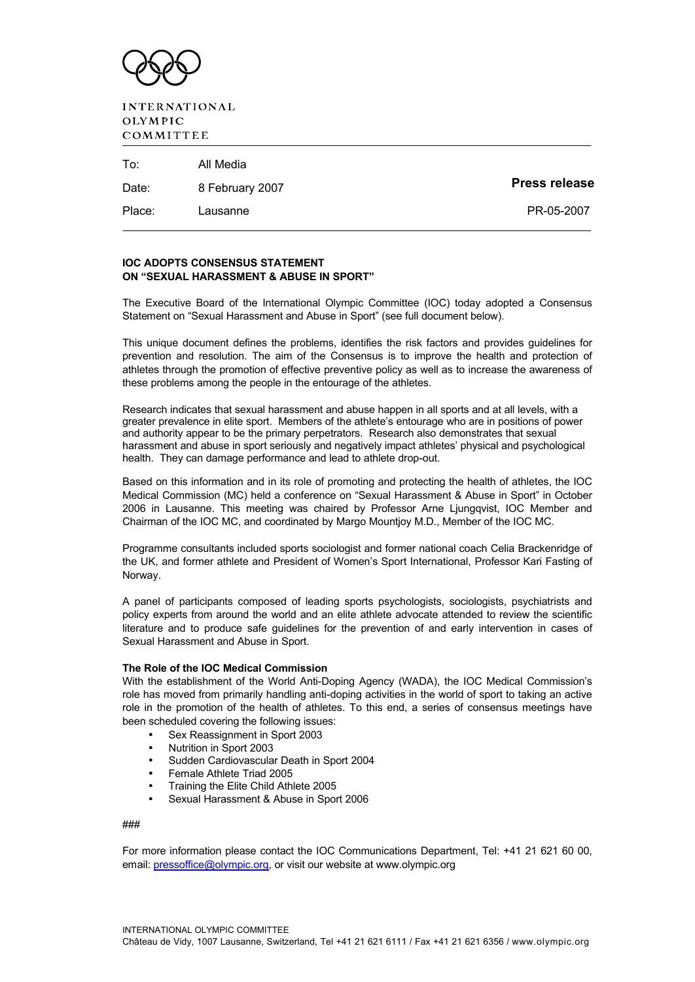

**INTERNATIONAL OLYMPIC** COMMITTEE

| To:    | All Media       |                      |
|--------|-----------------|----------------------|
| Date:  | 8 February 2007 | <b>Press release</b> |
| Place: | Lausanne        | PR-05-2007           |

#### **IOC ADOPTS CONSENSUS STATEMENT ON "SEXUAL HARASSMENT & ABUSE IN SPORT"**

The Executive Board of the International Olympic Committee (IOC) today adopted a Consensus Statement on "Sexual Harassment and Abuse in Sport" (see full document below).

This unique document defines the problems, identifies the risk factors and provides guidelines for prevention and resolution. The aim of the Consensus is to improve the health and protection of athletes through the promotion of effective preventive policy as well as to increase the awareness of these problems among the people in the entourage of the athletes.

Research indicates that sexual harassment and abuse happen in all sports and at all levels, with a greater prevalence in elite sport. Members of the athlete's entourage who are in positions of power and authority appear to be the primary perpetrators. Research also demonstrates that sexual harassment and abuse in sport seriously and negatively impact athletes' physical and psychological health. They can damage performance and lead to athlete drop-out.

Based on this information and in its role of promoting and protecting the health of athletes, the IOC Medical Commission (MC) held a conference on "Sexual Harassment & Abuse in Sport" in October 2006 in Lausanne. This meeting was chaired by Professor Arne Ljungqvist, IOC Member and Chairman of the IOC MC, and coordinated by Margo Mountjoy M.D., Member of the IOC MC.

Programme consultants included sports sociologist and former national coach Celia Brackenridge of the UK, and former athlete and President of Women's Sport International, Professor Kari Fasting of Norway.

A panel of participants composed of leading sports psychologists, sociologists, psychiatrists and policy experts from around the world and an elite athlete advocate attended to review the scientific literature and to produce safe guidelines for the prevention of and early intervention in cases of Sexual Harassment and Abuse in Sport.

#### **The Role of the IOC Medical Commission**

With the establishment of the World Anti-Doping Agency (WADA), the IOC Medical Commission's role has moved from primarily handling anti-doping activities in the world of sport to taking an active role in the promotion of the health of athletes. To this end, a series of consensus meetings have been scheduled covering the following issues:

• Sex Reassignment in Sport 2003

- Nutrition in Sport 2003
- Sudden Cardiovascular Death in Sport 2004
- Female Athlete Triad 2005
- Training the Elite Child Athlete 2005
- Sexual Harassment & Abuse in Sport 2006

###

For more information please contact the IOC Communications Department, Tel: +41 21 621 60 00, email: [pressoffice@olympic.org,](mailto:pressoffice@olympic.org) or visit our website at [www.olympic.org](http://www.olympic.org)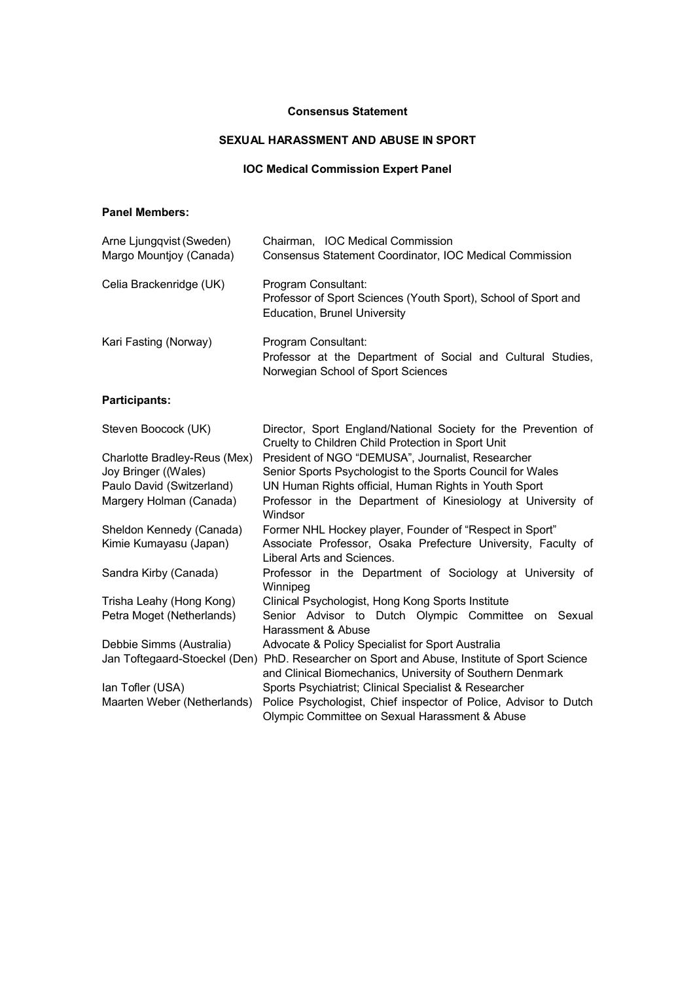#### **Consensus Statement**

# **SEXUAL HARASSMENT AND ABUSE IN SPORT**

# **IOC Medical Commission Expert Panel**

## **Panel Members:**

| Arne Ljungqvist (Sweden)<br>Margo Mountjoy (Canada) | Chairman, IOC Medical Commission<br>Consensus Statement Coordinator, IOC Medical Commission                                  |  |  |
|-----------------------------------------------------|------------------------------------------------------------------------------------------------------------------------------|--|--|
| Celia Brackenridge (UK)                             | Program Consultant:<br>Professor of Sport Sciences (Youth Sport), School of Sport and<br><b>Education, Brunel University</b> |  |  |
| Kari Fasting (Norway)                               | Program Consultant:<br>Professor at the Department of Social and Cultural Studies,<br>Norwegian School of Sport Sciences     |  |  |
| <b>Participants:</b>                                |                                                                                                                              |  |  |
| Steven Boocock (UK)                                 | Director, Sport England/National Society for the Prevention of<br>Cruelty to Children Child Protection in Sport Unit         |  |  |
| Charlotte Bradley-Reus (Mex)                        | President of NGO "DEMUSA", Journalist, Researcher                                                                            |  |  |
| Joy Bringer ((Wales)                                | Senior Sports Psychologist to the Sports Council for Wales                                                                   |  |  |
| Paulo David (Switzerland)                           | UN Human Rights official, Human Rights in Youth Sport                                                                        |  |  |
| Margery Holman (Canada)                             | Professor in the Department of Kinesiology at University of<br>Windsor                                                       |  |  |
| Sheldon Kennedy (Canada)                            | Former NHL Hockey player, Founder of "Respect in Sport"                                                                      |  |  |
| Kimie Kumayasu (Japan)                              | Associate Professor, Osaka Prefecture University, Faculty of<br>Liberal Arts and Sciences.                                   |  |  |
| Sandra Kirby (Canada)                               | Professor in the Department of Sociology at University of<br>Winnipeg                                                        |  |  |
| Trisha Leahy (Hong Kong)                            | Clinical Psychologist, Hong Kong Sports Institute                                                                            |  |  |
| Petra Moget (Netherlands)                           | Senior Advisor to Dutch Olympic Committee<br>on Sexual                                                                       |  |  |
|                                                     | Harassment & Abuse                                                                                                           |  |  |
| Debbie Simms (Australia)                            | Advocate & Policy Specialist for Sport Australia                                                                             |  |  |
|                                                     | Jan Toftegaard-Stoeckel (Den) PhD. Researcher on Sport and Abuse, Institute of Sport Science                                 |  |  |
|                                                     | and Clinical Biomechanics, University of Southern Denmark                                                                    |  |  |
| lan Tofler (USA)                                    | Sports Psychiatrist; Clinical Specialist & Researcher                                                                        |  |  |
| Maarten Weber (Netherlands)                         | Police Psychologist, Chief inspector of Police, Advisor to Dutch<br>Olympic Committee on Sexual Harassment & Abuse           |  |  |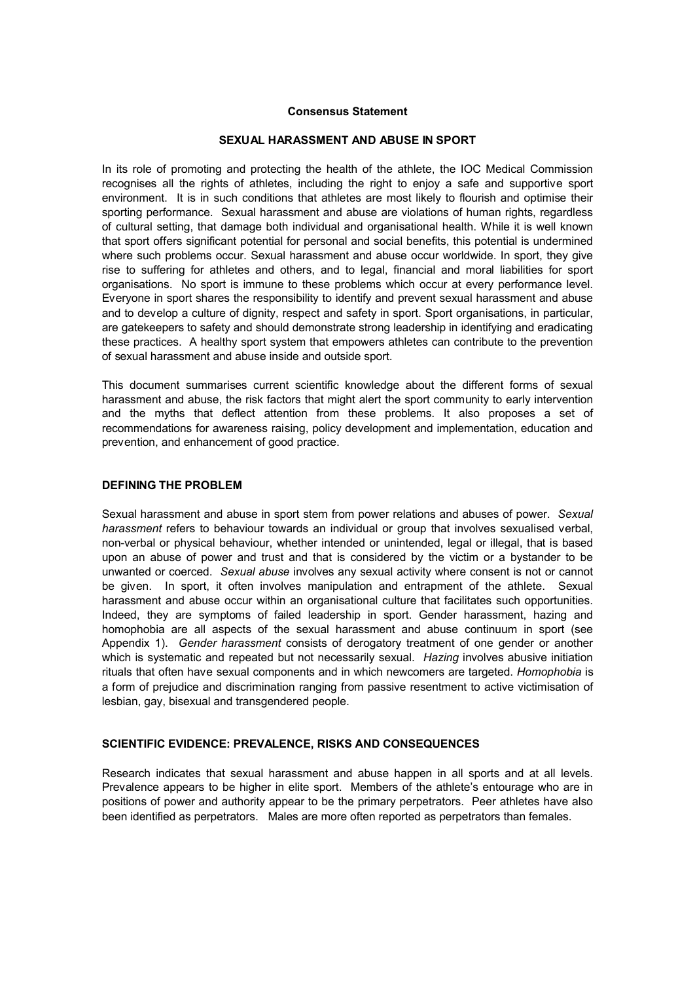#### **Consensus Statement**

#### **SEXUAL HARASSMENT AND ABUSE IN SPORT**

In its role of promoting and protecting the health of the athlete, the IOC Medical Commission recognises all the rights of athletes, including the right to enjoy a safe and supportive sport environment. It is in such conditions that athletes are most likely to flourish and optimise their sporting performance. Sexual harassment and abuse are violations of human rights, regardless of cultural setting, that damage both individual and organisational health. While it is well known that sport offers significant potential for personal and social benefits, this potential is undermined where such problems occur. Sexual harassment and abuse occur worldwide. In sport, they give rise to suffering for athletes and others, and to legal, financial and moral liabilities for sport organisations. No sport is immune to these problems which occur at every performance level. Everyone in sport shares the responsibility to identify and prevent sexual harassment and abuse and to develop a culture of dignity, respect and safety in sport. Sport organisations, in particular, are gatekeepers to safety and should demonstrate strong leadership in identifying and eradicating these practices. A healthy sport system that empowers athletes can contribute to the prevention of sexual harassment and abuse inside and outside sport.

This document summarises current scientific knowledge about the different forms of sexual harassment and abuse, the risk factors that might alert the sport community to early intervention and the myths that deflect attention from these problems. It also proposes a set of recommendations for awareness raising, policy development and implementation, education and prevention, and enhancement of good practice.

#### **DEFINING THE PROBLEM**

Sexual harassment and abuse in sport stem from power relations and abuses of power. *Sexual harassment* refers to behaviour towards an individual or group that involves sexualised verbal, non-verbal or physical behaviour, whether intended or unintended, legal or illegal, that is based upon an abuse of power and trust and that is considered by the victim or a bystander to be unwanted or coerced. *Sexual abuse* involves any sexual activity where consent is not or cannot be given. In sport, it often involves manipulation and entrapment of the athlete. Sexual harassment and abuse occur within an organisational culture that facilitates such opportunities. Indeed, they are symptoms of failed leadership in sport. Gender harassment, hazing and homophobia are all aspects of the sexual harassment and abuse continuum in sport (see Appendix 1). *Gender harassment* consists of derogatory treatment of one gender or another which is systematic and repeated but not necessarily sexual. *Hazing* involves abusive initiation rituals that often have sexual components and in which newcomers are targeted. *Homophobia* is a form of prejudice and discrimination ranging from passive resentment to active victimisation of lesbian, gay, bisexual and transgendered people.

#### **SCIENTIFIC EVIDENCE: PREVALENCE, RISKS AND CONSEQUENCES**

Research indicates that sexual harassment and abuse happen in all sports and at all levels. Prevalence appears to be higher in elite sport. Members of the athlete's entourage who are in positions of power and authority appear to be the primary perpetrators. Peer athletes have also been identified as perpetrators. Males are more often reported as perpetrators than females.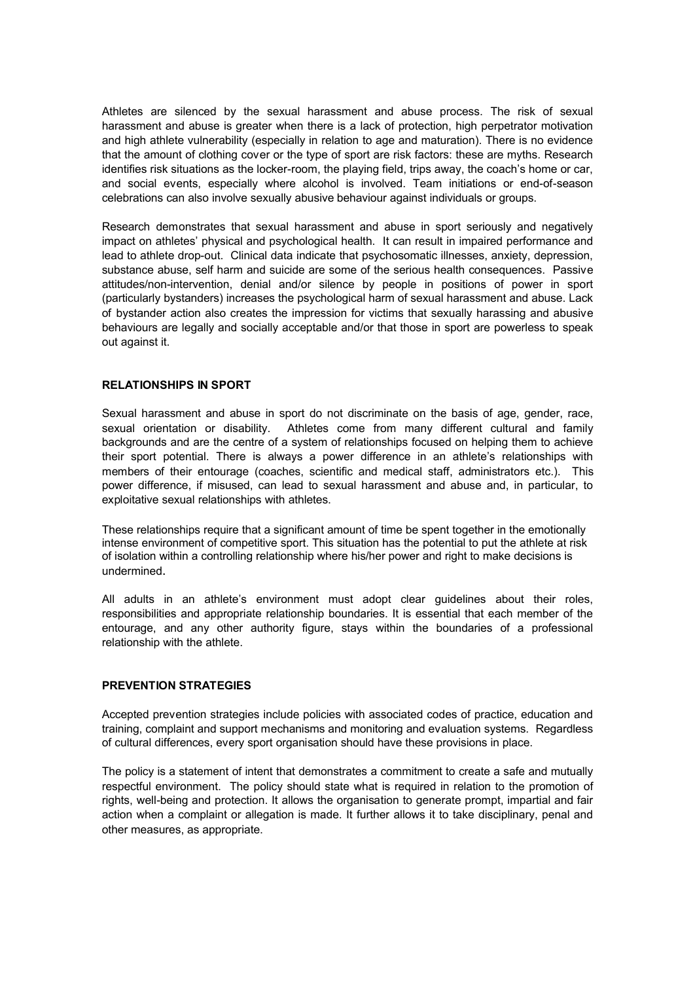Athletes are silenced by the sexual harassment and abuse process. The risk of sexual harassment and abuse is greater when there is a lack of protection, high perpetrator motivation and high athlete vulnerability (especially in relation to age and maturation). There is no evidence that the amount of clothing cover or the type of sport are risk factors: these are myths. Research identifies risk situations as the locker-room, the playing field, trips away, the coach's home or car, and social events, especially where alcohol is involved. Team initiations or end-of-season celebrations can also involve sexually abusive behaviour against individuals or groups.

Research demonstrates that sexual harassment and abuse in sport seriously and negatively impact on athletes' physical and psychological health. It can result in impaired performance and lead to athlete drop-out. Clinical data indicate that psychosomatic illnesses, anxiety, depression, substance abuse, self harm and suicide are some of the serious health consequences. Passive attitudes/non-intervention, denial and/or silence by people in positions of power in sport (particularly bystanders) increases the psychological harm of sexual harassment and abuse. Lack of bystander action also creates the impression for victims that sexually harassing and abusive behaviours are legally and socially acceptable and/or that those in sport are powerless to speak out against it.

#### **RELATIONSHIPS IN SPORT**

Sexual harassment and abuse in sport do not discriminate on the basis of age, gender, race, sexual orientation or disability. Athletes come from many different cultural and family backgrounds and are the centre of a system of relationships focused on helping them to achieve their sport potential. There is always a power difference in an athlete's relationships with members of their entourage (coaches, scientific and medical staff, administrators etc.). This power difference, if misused, can lead to sexual harassment and abuse and, in particular, to exploitative sexual relationships with athletes.

These relationships require that a significant amount of time be spent together in the emotionally intense environment of competitive sport. This situation has the potential to put the athlete at risk of isolation within a controlling relationship where his/her power and right to make decisions is undermined.

All adults in an athlete's environment must adopt clear guidelines about their roles, responsibilities and appropriate relationship boundaries. It is essential that each member of the entourage, and any other authority figure, stays within the boundaries of a professional relationship with the athlete.

#### **PREVENTION STRATEGIES**

Accepted prevention strategies include policies with associated codes of practice, education and training, complaint and support mechanisms and monitoring and evaluation systems. Regardless of cultural differences, every sport organisation should have these provisions in place.

The policy is a statement of intent that demonstrates a commitment to create a safe and mutually respectful environment. The policy should state what is required in relation to the promotion of rights, well-being and protection. It allows the organisation to generate prompt, impartial and fair action when a complaint or allegation is made. It further allows it to take disciplinary, penal and other measures, as appropriate.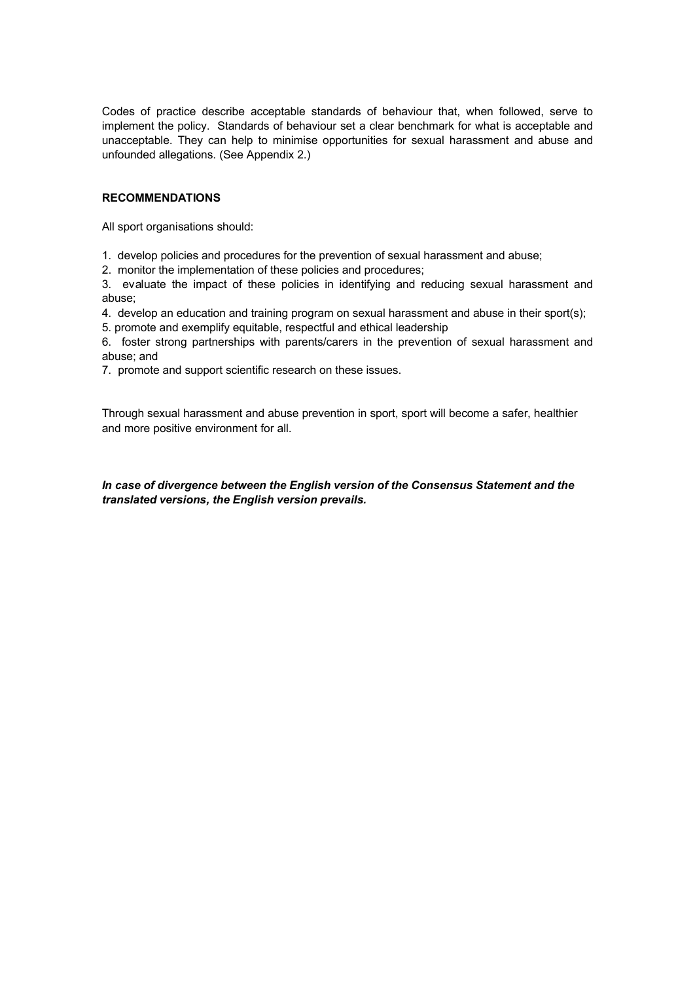Codes of practice describe acceptable standards of behaviour that, when followed, serve to implement the policy. Standards of behaviour set a clear benchmark for what is acceptable and unacceptable. They can help to minimise opportunities for sexual harassment and abuse and unfounded allegations. (See Appendix 2.)

#### **RECOMMENDATIONS**

All sport organisations should:

1. develop policies and procedures for the prevention of sexual harassment and abuse;

2. monitor the implementation of these policies and procedures;

3. evaluate the impact of these policies in identifying and reducing sexual harassment and abuse;

4. develop an education and training program on sexual harassment and abuse in their sport(s);

5. promote and exemplify equitable, respectful and ethical leadership

6. foster strong partnerships with parents/carers in the prevention of sexual harassment and abuse; and

7. promote and support scientific research on these issues.

Through sexual harassment and abuse prevention in sport, sport will become a safer, healthier and more positive environment for all.

#### *In case of divergence between the English version of the Consensus Statement and the translated versions, the English version prevails.*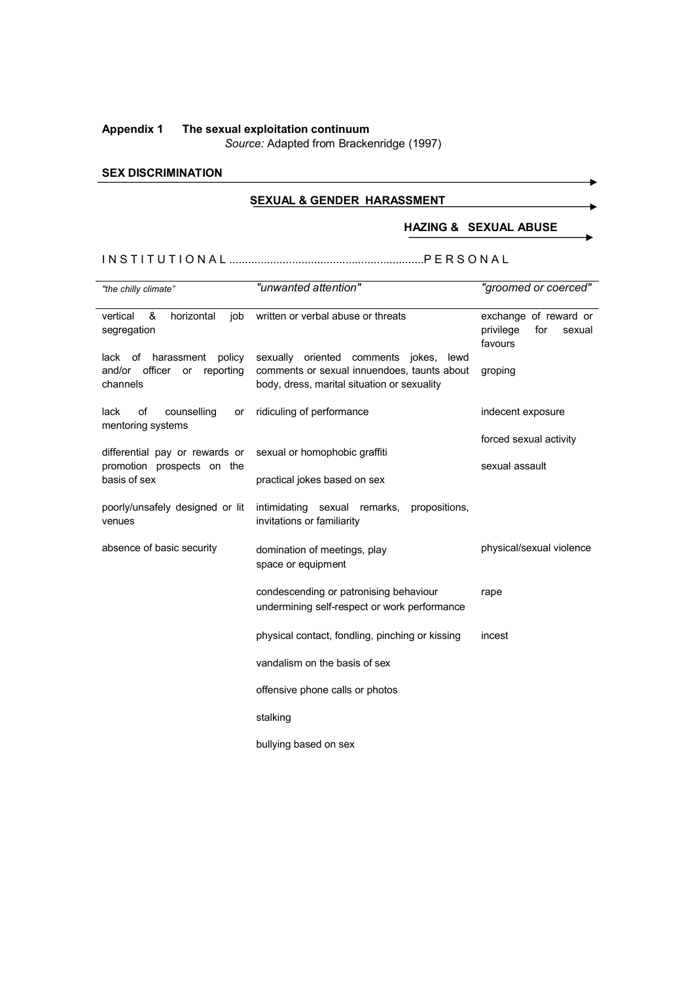## **Appendix 1 The sexual exploitation continuum**  *Source:* Adapted from Brackenridge (1997)

#### **SEX DISCRIMINATION**

#### **SEXUAL & GENDER HARASSMENT**

# **HAZING & SEXUAL ABUSE**

# I N S T I T U T I O N A L ..............................................................P E R S O N A L

| "the chilly climate"                                                          | "unwanted attention"                                                                                                                    | "groomed or coerced"                                           |
|-------------------------------------------------------------------------------|-----------------------------------------------------------------------------------------------------------------------------------------|----------------------------------------------------------------|
| vertical<br>&<br>horizontal<br>job<br>segregation                             | written or verbal abuse or threats                                                                                                      | exchange of reward or<br>privilege<br>for<br>sexual<br>favours |
| lack of harassment<br>policy<br>and/or<br>officer or<br>reporting<br>channels | sexually oriented comments jokes,<br>lewd<br>comments or sexual innuendoes, taunts about<br>body, dress, marital situation or sexuality | groping                                                        |
| οf<br>lack<br>counselling<br>or<br>mentoring systems                          | ridiculing of performance                                                                                                               | indecent exposure                                              |
| differential pay or rewards or                                                | sexual or homophobic graffiti                                                                                                           | forced sexual activity                                         |
| promotion prospects on the                                                    |                                                                                                                                         | sexual assault                                                 |
| basis of sex                                                                  | practical jokes based on sex                                                                                                            |                                                                |
| poorly/unsafely designed or lit<br>venues                                     | intimidating sexual<br>remarks,<br>propositions,<br>invitations or familiarity                                                          |                                                                |
| absence of basic security                                                     | domination of meetings, play<br>space or equipment                                                                                      | physical/sexual violence                                       |
|                                                                               | condescending or patronising behaviour<br>undermining self-respect or work performance                                                  | rape                                                           |
|                                                                               | physical contact, fondling, pinching or kissing                                                                                         | incest                                                         |
|                                                                               | vandalism on the basis of sex                                                                                                           |                                                                |
|                                                                               | offensive phone calls or photos                                                                                                         |                                                                |
|                                                                               | stalking                                                                                                                                |                                                                |
|                                                                               | bullying based on sex                                                                                                                   |                                                                |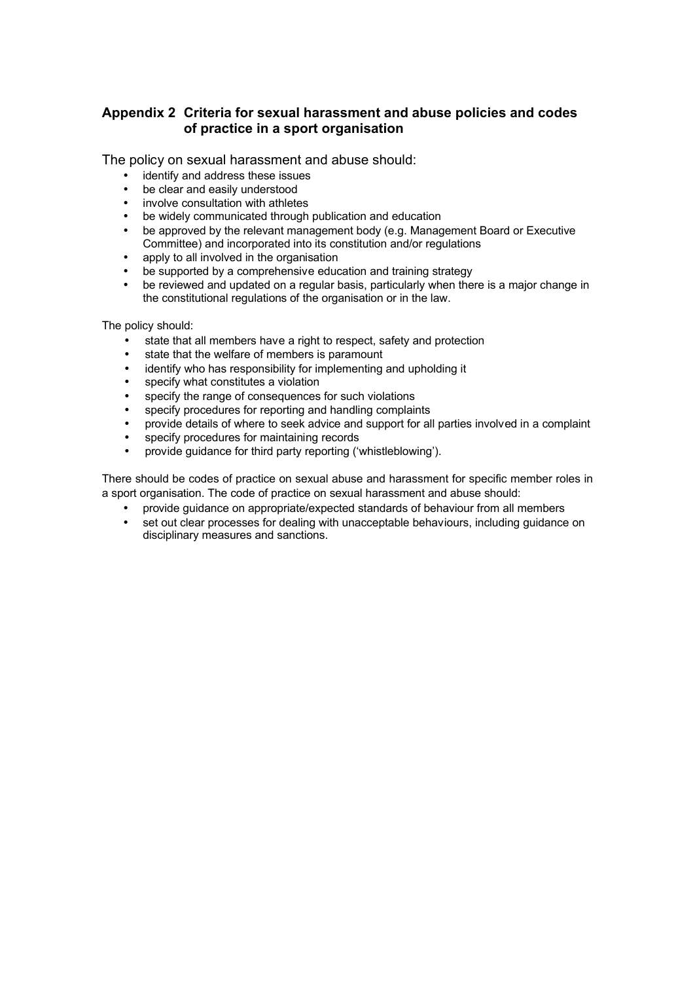# **Appendix 2 Criteria for sexual harassment and abuse policies and codes of practice in a sport organisation**

The policy on sexual harassment and abuse should:

- identify and address these issues
- be clear and easily understood
- involve consultation with athletes
- be widely communicated through publication and education
- be approved by the relevant management body (e.g. Management Board or Executive Committee) and incorporated into its constitution and/or regulations
- apply to all involved in the organisation
- be supported by a comprehensive education and training strategy
- be reviewed and updated on a regular basis, particularly when there is a major change in the constitutional regulations of the organisation or in the law.

The policy should:

- state that all members have a right to respect, safety and protection
- state that the welfare of members is paramount
- identify who has responsibility for implementing and upholding it
- specify what constitutes a violation
- specify the range of consequences for such violations
- specify procedures for reporting and handling complaints
- provide details of where to seek advice and support for all parties involved in a complaint
- specify procedures for maintaining records
- provide guidance for third party reporting ('whistleblowing').

There should be codes of practice on sexual abuse and harassment for specific member roles in a sport organisation. The code of practice on sexual harassment and abuse should:

- provide guidance on appropriate/expected standards of behaviour from all members
- set out clear processes for dealing with unacceptable behaviours, including guidance on disciplinary measures and sanctions.